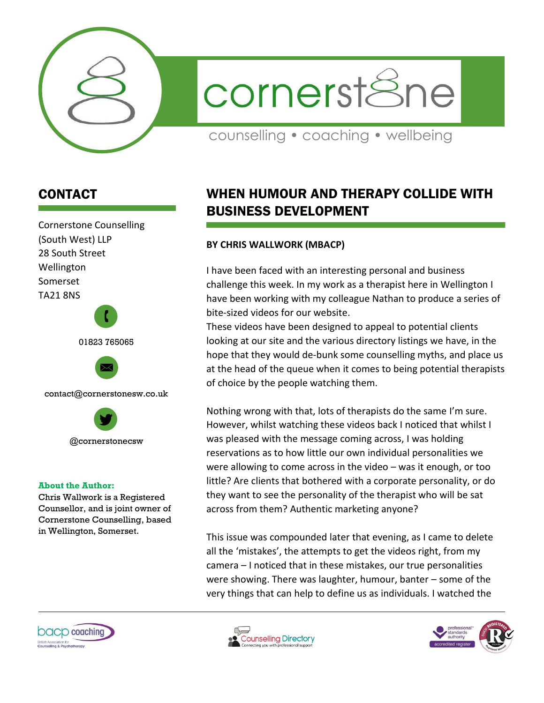

cornerst&ne

counselling • coaching • wellbeing

## CONTACT

Cornerstone Counselling (South West) LLP 28 South Street Wellington Somerset TA21 8NS  $\mathbf{r}$ 

01823 765065



contact@cornerstonesw.co.uk



## **About the Author:**

Chris Wallwork is a Registered Counsellor, and is joint owner of Cornerstone Counselling, based in Wellington, Somerset.

## WHEN HUMOUR AND THERAPY COLLIDE WITH BUSINESS DEVELOPMENT

## **BY CHRIS WALLWORK (MBACP)**

I have been faced with an interesting personal and business challenge this week. In my work as a therapist here in Wellington I have been working with my colleague Nathan to produce a series of bite-sized videos for our website.

These videos have been designed to appeal to potential clients looking at our site and the various directory listings we have, in the hope that they would de-bunk some counselling myths, and place us at the head of the queue when it comes to being potential therapists of choice by the people watching them.

Nothing wrong with that, lots of therapists do the same I'm sure. However, whilst watching these videos back I noticed that whilst I was pleased with the message coming across, I was holding reservations as to how little our own individual personalities we were allowing to come across in the video – was it enough, or too little? Are clients that bothered with a corporate personality, or do they want to see the personality of the therapist who will be sat across from them? Authentic marketing anyone?

This issue was compounded later that evening, as I came to delete all the 'mistakes', the attempts to get the videos right, from my camera – I noticed that in these mistakes, our true personalities were showing. There was laughter, humour, banter – some of the very things that can help to define us as individuals. I watched the